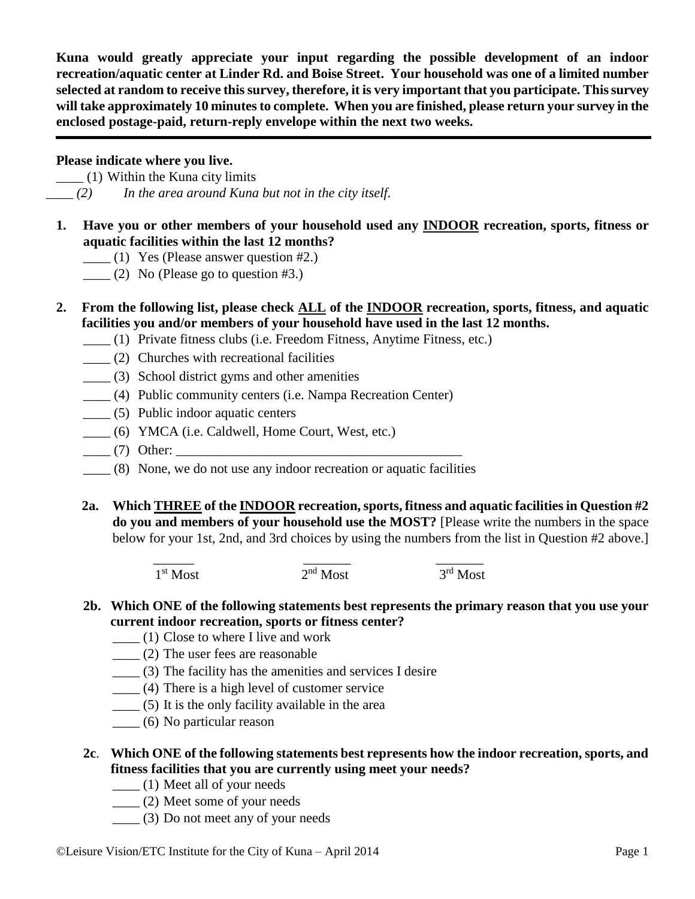**Kuna would greatly appreciate your input regarding the possible development of an indoor recreation/aquatic center at Linder Rd. and Boise Street. Your household was one of a limited number selected at random to receive this survey, therefore, it is very important that you participate. This survey will take approximately 10 minutes to complete. When you are finished, please return your survey in the enclosed postage-paid, return-reply envelope within the next two weeks.**

## **Please indicate where you live.**

 $\frac{1}{1}$  (1) Within the Kuna city limits *\_\_\_\_ (2) In the area around Kuna but not in the city itself.*

- **1. Have you or other members of your household used any INDOOR recreation, sports, fitness or aquatic facilities within the last 12 months?** 
	- $\frac{1}{2}$  (1) Yes (Please answer question #2.)
	- $\frac{1}{2}$  (2) No (Please go to question #3.)
- **2. From the following list, please check ALL of the INDOOR recreation, sports, fitness, and aquatic facilities you and/or members of your household have used in the last 12 months.**
	- \_\_\_\_ (1) Private fitness clubs (i.e. Freedom Fitness, Anytime Fitness, etc.)
	- \_\_\_\_ (2) Churches with recreational facilities
	- \_\_\_\_ (3) School district gyms and other amenities
	- \_\_\_\_ (4) Public community centers (i.e. Nampa Recreation Center)
	- \_\_\_\_ (5) Public indoor aquatic centers
	- \_\_\_\_ (6) YMCA (i.e. Caldwell, Home Court, West, etc.)
	- $\frac{1}{\sqrt{7}}$  Other:
	- \_\_\_\_ (8) None, we do not use any indoor recreation or aquatic facilities
	- **2a. Which THREE of the INDOOR recreation, sports, fitness and aquatic facilities in Question #2 do you and members of your household use the MOST?** [Please write the numbers in the space below for your 1st, 2nd, and 3rd choices by using the numbers from the list in Question #2 above.]

\_\_\_\_\_\_ \_\_\_\_\_\_\_ \_\_\_\_\_\_\_ 1 st Most 2  $2<sup>nd</sup>$  Most  $\overline{3}$ <sup>rd</sup> Most

- **2b. Which ONE of the following statements best represents the primary reason that you use your current indoor recreation, sports or fitness center?**
	- $\qquad$  (1) Close to where I live and work
	- \_\_\_\_ (2) The user fees are reasonable
	- \_\_\_\_ (3) The facility has the amenities and services I desire
	- $\frac{1}{1}$  (4) There is a high level of customer service
	- \_\_\_\_ (5) It is the only facility available in the area
	- \_\_\_\_ (6) No particular reason
- **2c**. **Which ONE of the following statements best represents how the indoor recreation, sports, and fitness facilities that you are currently using meet your needs?**
	- \_\_\_\_ (1) Meet all of your needs
	- \_\_\_\_ (2) Meet some of your needs
	- \_\_\_\_ (3) Do not meet any of your needs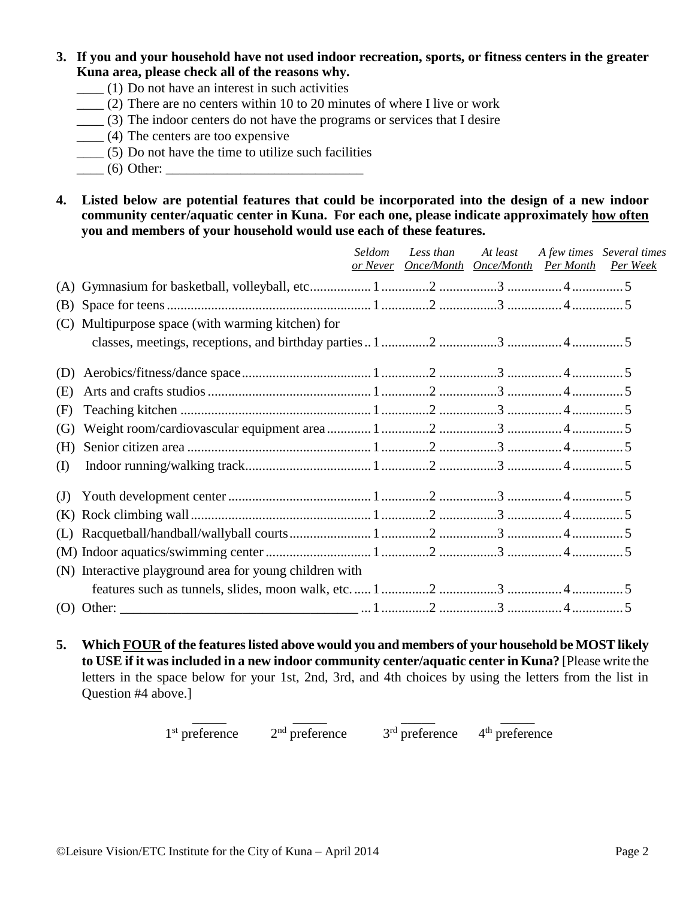## **3. If you and your household have not used indoor recreation, sports, or fitness centers in the greater Kuna area, please check all of the reasons why.**

- $\frac{1}{1}$  Do not have an interest in such activities
- $\frac{1}{2}$  (2) There are no centers within 10 to 20 minutes of where I live or work
- \_\_\_\_ (3) The indoor centers do not have the programs or services that I desire
- \_\_\_\_ (4) The centers are too expensive
- $\frac{1}{1}$  (5) Do not have the time to utilize such facilities
- $\frac{1}{2}$  (6) Other:
- **4. Listed below are potential features that could be incorporated into the design of a new indoor community center/aquatic center in Kuna. For each one, please indicate approximately how often you and members of your household would use each of these features.**

|     |                                                         | <i>Seldom</i> | Less than                              | At least | A few times Several times |
|-----|---------------------------------------------------------|---------------|----------------------------------------|----------|---------------------------|
|     |                                                         | or Never      | <b>Once/Month Once/Month Per Month</b> |          | Per Week                  |
| (A) |                                                         |               |                                        |          |                           |
| (B) |                                                         |               |                                        |          |                           |
| (C) | Multipurpose space (with warming kitchen) for           |               |                                        |          |                           |
|     |                                                         |               |                                        |          |                           |
| (D) |                                                         |               |                                        |          |                           |
| (E) |                                                         |               |                                        |          |                           |
| (F) |                                                         |               |                                        |          |                           |
| (G) |                                                         |               |                                        |          |                           |
| (H) |                                                         |               |                                        |          |                           |
| (I) |                                                         |               |                                        |          |                           |
| (J) |                                                         |               |                                        |          |                           |
| (K) |                                                         |               |                                        |          |                           |
| (L) |                                                         |               |                                        |          |                           |
|     |                                                         |               |                                        |          |                           |
|     | (N) Interactive playground area for young children with |               |                                        |          |                           |
|     |                                                         |               |                                        |          |                           |
|     | $(O)$ Other:                                            |               |                                        |          |                           |

**5. Which FOUR of the features listed above would you and members of your household be MOST likely to USE if it was included in a new indoor community center/aquatic center in Kuna?** [Please write the letters in the space below for your 1st, 2nd, 3rd, and 4th choices by using the letters from the list in Question #4 above.]

> \_\_\_\_\_ \_\_\_\_\_ \_\_\_\_\_ \_\_\_\_\_  $1<sup>st</sup>$  preference  $2<sup>nd</sup>$  preference  $3<sup>rd</sup>$  preference  $4<sup>th</sup>$  preference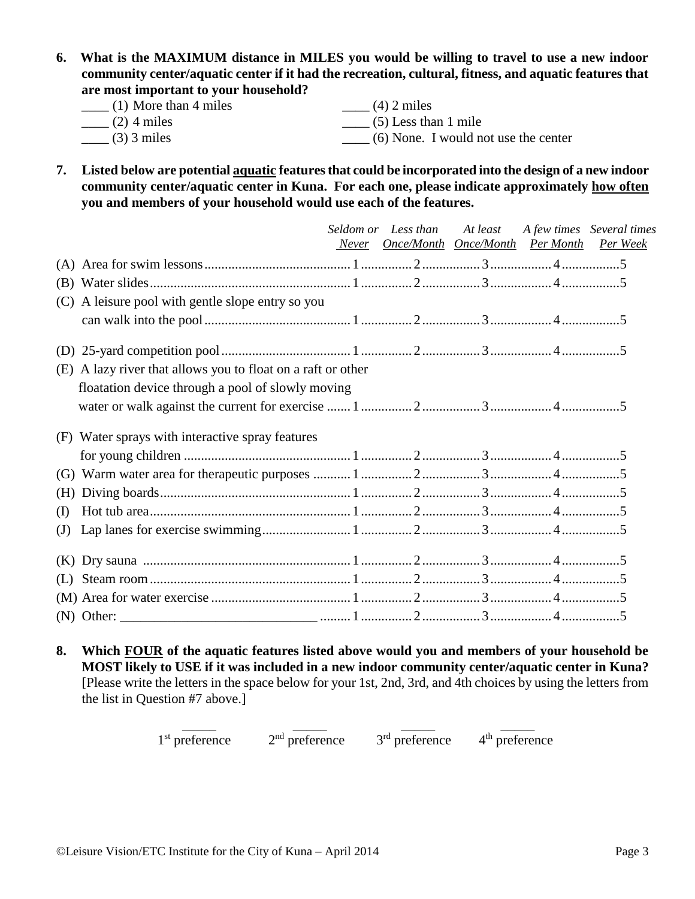**6. What is the MAXIMUM distance in MILES you would be willing to travel to use a new indoor community center/aquatic center if it had the recreation, cultural, fitness, and aquatic features that are most important to your household?**

| $\frac{1}{1}$ (1) More than 4 miles | $\frac{1}{2}$ miles                  |
|-------------------------------------|--------------------------------------|
| $\frac{1}{2}$ (2) 4 miles           | $\qquad$ (5) Less than 1 mile        |
| $\frac{1}{2}$ (3) 3 miles           | (6) None. I would not use the center |

**7. Listed below are potential aquatic features that could be incorporated into the design of a new indoor community center/aquatic center in Kuna. For each one, please indicate approximately how often you and members of your household would use each of the features.** 

|                                                                 | Seldom or Less than | At least<br>Never Once/Month Once/Month Per Month Per Week | A few times Several times |
|-----------------------------------------------------------------|---------------------|------------------------------------------------------------|---------------------------|
|                                                                 |                     |                                                            |                           |
|                                                                 |                     |                                                            |                           |
| (C) A leisure pool with gentle slope entry so you               |                     |                                                            |                           |
|                                                                 |                     |                                                            |                           |
|                                                                 |                     |                                                            |                           |
| A lazy river that allows you to float on a raft or other<br>(E) |                     |                                                            |                           |
| floatation device through a pool of slowly moving               |                     |                                                            |                           |
|                                                                 |                     |                                                            |                           |
| (F) Water sprays with interactive spray features                |                     |                                                            |                           |
|                                                                 |                     |                                                            |                           |
| (G)                                                             |                     |                                                            |                           |
| (H)                                                             |                     |                                                            |                           |
| (I)                                                             |                     |                                                            |                           |
| $\mathrm{J}$                                                    |                     |                                                            |                           |
| (K)                                                             |                     |                                                            |                           |
| (L)                                                             |                     |                                                            |                           |
|                                                                 |                     |                                                            |                           |
|                                                                 |                     |                                                            |                           |

**8. Which FOUR of the aquatic features listed above would you and members of your household be MOST likely to USE if it was included in a new indoor community center/aquatic center in Kuna?**  [Please write the letters in the space below for your 1st, 2nd, 3rd, and 4th choices by using the letters from the list in Question #7 above.]

> \_\_\_\_\_ \_\_\_\_\_ \_\_\_\_\_ \_\_\_\_\_  $1<sup>st</sup>$  preference  $2<sup>nd</sup>$  preference  $3<sup>rd</sup>$  preference  $4<sup>th</sup>$  preference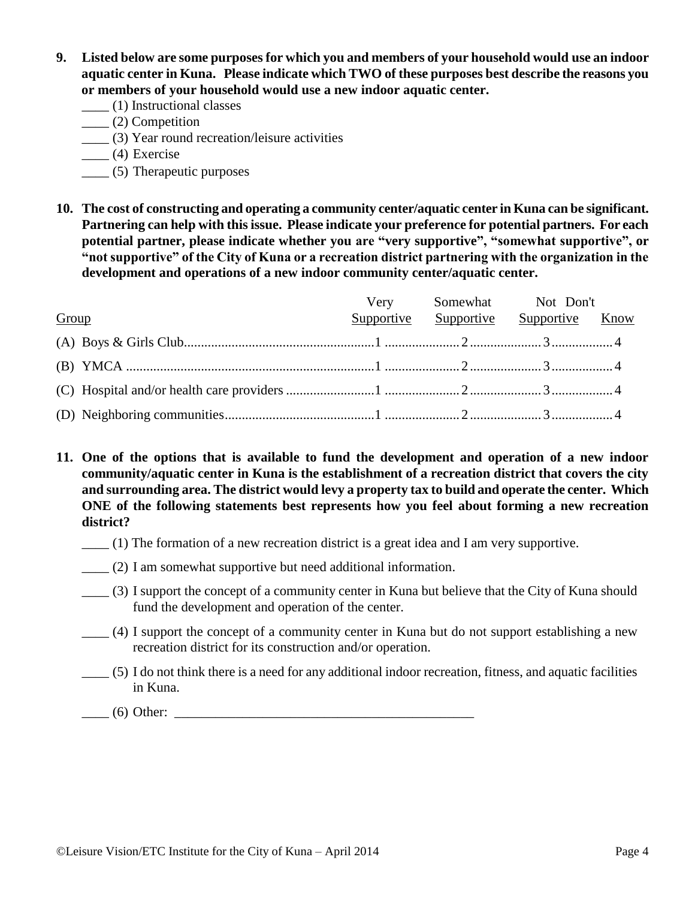- **9. Listed below are some purposes for which you and members of your household would use an indoor aquatic center in Kuna. Please indicate which TWO of these purposes best describe the reasons you or members of your household would use a new indoor aquatic center.**
	- \_\_\_\_ (1) Instructional classes
	- \_\_\_\_ (2) Competition
	- \_\_\_\_ (3) Year round recreation/leisure activities
	- $\frac{1}{2}$  (4) Exercise
	- \_\_\_\_ (5) Therapeutic purposes
- **10. The cost of constructing and operating a community center/aquatic center in Kuna can be significant. Partnering can help with this issue. Please indicate your preference for potential partners. For each potential partner, please indicate whether you are "very supportive", "somewhat supportive", or "not supportive" of the City of Kuna or a recreation district partnering with the organization in the development and operations of a new indoor community center/aquatic center.**

|       | Very Somewhat Not Don't               |  |
|-------|---------------------------------------|--|
| Group | Supportive Supportive Supportive Know |  |
|       |                                       |  |
|       |                                       |  |
|       |                                       |  |
|       |                                       |  |

**11. One of the options that is available to fund the development and operation of a new indoor community/aquatic center in Kuna is the establishment of a recreation district that covers the city and surrounding area. The district would levy a property tax to build and operate the center. Which ONE of the following statements best represents how you feel about forming a new recreation district?**

- \_\_\_\_ (1) The formation of a new recreation district is a great idea and I am very supportive.
- \_\_\_\_ (2) I am somewhat supportive but need additional information.
- \_\_\_\_ (3) I support the concept of a community center in Kuna but believe that the City of Kuna should fund the development and operation of the center.
- \_\_\_\_ (4) I support the concept of a community center in Kuna but do not support establishing a new recreation district for its construction and/or operation.
- \_\_\_\_ (5) I do not think there is a need for any additional indoor recreation, fitness, and aquatic facilities in Kuna.

 $\Box$  (6) Other:  $\Box$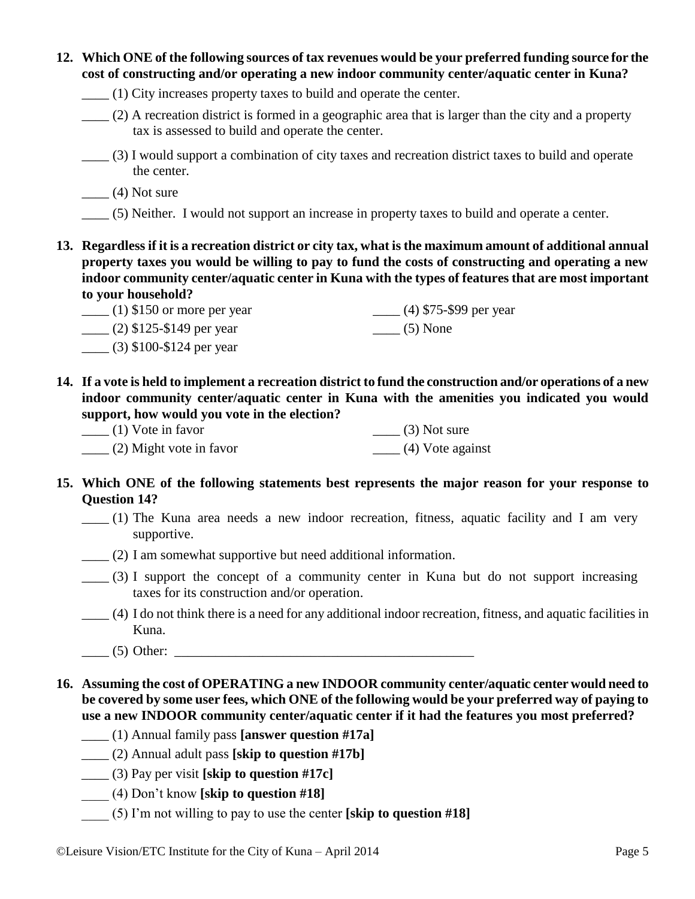| 12. Which ONE of the following sources of tax revenues would be your preferred funding source for the                                                                                                                                                                                                                                                                                                                                                          |                                                                                                                                                                                                                                                                                                                     |  |  |  |  |
|----------------------------------------------------------------------------------------------------------------------------------------------------------------------------------------------------------------------------------------------------------------------------------------------------------------------------------------------------------------------------------------------------------------------------------------------------------------|---------------------------------------------------------------------------------------------------------------------------------------------------------------------------------------------------------------------------------------------------------------------------------------------------------------------|--|--|--|--|
| cost of constructing and/or operating a new indoor community center/aquatic center in Kuna?                                                                                                                                                                                                                                                                                                                                                                    |                                                                                                                                                                                                                                                                                                                     |  |  |  |  |
| (1) City increases property taxes to build and operate the center.                                                                                                                                                                                                                                                                                                                                                                                             |                                                                                                                                                                                                                                                                                                                     |  |  |  |  |
| (2) A recreation district is formed in a geographic area that is larger than the city and a property<br>tax is assessed to build and operate the center.                                                                                                                                                                                                                                                                                                       |                                                                                                                                                                                                                                                                                                                     |  |  |  |  |
| (3) I would support a combination of city taxes and recreation district taxes to build and operate<br>the center.                                                                                                                                                                                                                                                                                                                                              |                                                                                                                                                                                                                                                                                                                     |  |  |  |  |
| $\frac{1}{1}$ (4) Not sure                                                                                                                                                                                                                                                                                                                                                                                                                                     |                                                                                                                                                                                                                                                                                                                     |  |  |  |  |
| (5) Neither. I would not support an increase in property taxes to build and operate a center.                                                                                                                                                                                                                                                                                                                                                                  |                                                                                                                                                                                                                                                                                                                     |  |  |  |  |
| to your household?                                                                                                                                                                                                                                                                                                                                                                                                                                             | 13. Regardless if it is a recreation district or city tax, what is the maximum amount of additional annual<br>property taxes you would be willing to pay to fund the costs of constructing and operating a new<br>indoor community center/aquatic center in Kuna with the types of features that are most important |  |  |  |  |
| $\frac{1}{2}$ (1) \$150 or more per year                                                                                                                                                                                                                                                                                                                                                                                                                       | $\frac{1}{2}$ (4) \$75-\$99 per year                                                                                                                                                                                                                                                                                |  |  |  |  |
| $\frac{1}{2}$ (2) \$125-\$149 per year                                                                                                                                                                                                                                                                                                                                                                                                                         | $\frac{1}{\sqrt{5}}$ None                                                                                                                                                                                                                                                                                           |  |  |  |  |
| $\frac{1}{2}$ (3) \$100-\$124 per year                                                                                                                                                                                                                                                                                                                                                                                                                         |                                                                                                                                                                                                                                                                                                                     |  |  |  |  |
| 14. If a vote is held to implement a recreation district to fund the construction and/or operations of a new<br>indoor community center/aquatic center in Kuna with the amenities you indicated you would<br>support, how would you vote in the election?<br>$\frac{1}{1}$ Vote in favor<br>____ (2) Might vote in favor                                                                                                                                       | $\frac{1}{2}$ (3) Not sure<br>$\frac{1}{2}$ (4) Vote against                                                                                                                                                                                                                                                        |  |  |  |  |
| <b>Question 14?</b>                                                                                                                                                                                                                                                                                                                                                                                                                                            | 15. Which ONE of the following statements best represents the major reason for your response to                                                                                                                                                                                                                     |  |  |  |  |
| (1) The Kuna area needs a new indoor recreation, fitness, aquatic facility and I am very<br>supportive.                                                                                                                                                                                                                                                                                                                                                        |                                                                                                                                                                                                                                                                                                                     |  |  |  |  |
| (2) I am somewhat supportive but need additional information.                                                                                                                                                                                                                                                                                                                                                                                                  |                                                                                                                                                                                                                                                                                                                     |  |  |  |  |
| $(3)$ I support the concept of a community center in Kuna but do not support increasing<br>taxes for its construction and/or operation.                                                                                                                                                                                                                                                                                                                        |                                                                                                                                                                                                                                                                                                                     |  |  |  |  |
| Kuna.                                                                                                                                                                                                                                                                                                                                                                                                                                                          | (4) I do not think there is a need for any additional indoor recreation, fitness, and aquatic facilities in                                                                                                                                                                                                         |  |  |  |  |
| (5) Other: 2000 Contract 2000 Contract 2000 Contract 2000 Contract 2000 Contract 2000 Contract 2000 Contract 2000 Contract 2000 Contract 2000 Contract 2000 Contract 2000 Contract 2000 Contract 2000 Contract 2000 Contract 2                                                                                                                                                                                                                                 |                                                                                                                                                                                                                                                                                                                     |  |  |  |  |
| 16. Assuming the cost of OPERATING a new INDOOR community center/aquatic center would need to<br>be covered by some user fees, which ONE of the following would be your preferred way of paying to<br>use a new INDOOR community center/aquatic center if it had the features you most preferred?<br>(1) Annual family pass [answer question #17a]<br>(2) Annual adult pass [skip to question #17b]<br>$\frac{1}{2}$ (3) Pay per visit [skip to question #17c] |                                                                                                                                                                                                                                                                                                                     |  |  |  |  |
| $(4)$ Don't know [skip to question #18]                                                                                                                                                                                                                                                                                                                                                                                                                        |                                                                                                                                                                                                                                                                                                                     |  |  |  |  |
| (5) I'm not willing to pay to use the center [skip to question $\#18$ ]                                                                                                                                                                                                                                                                                                                                                                                        |                                                                                                                                                                                                                                                                                                                     |  |  |  |  |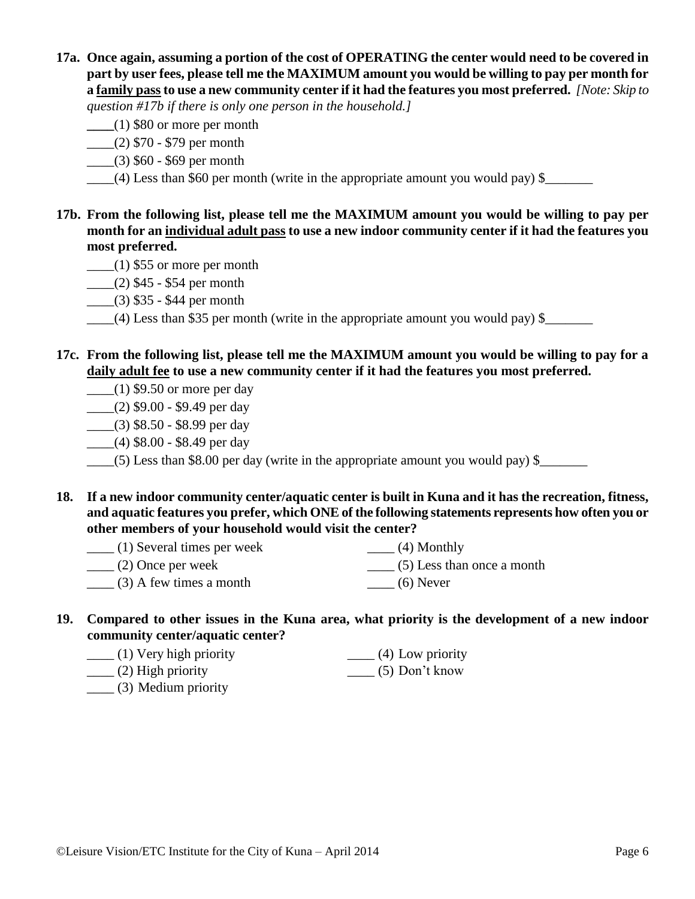**17a. Once again, assuming a portion of the cost of OPERATING the center would need to be covered in part by user fees, please tell me the MAXIMUM amount you would be willing to pay per month for a family pass to use a new community center if it had the features you most preferred.** *[Note: Skip to* 

*question #17b if there is only one person in the household.]*

- **\_\_\_\_**(1) \$80 or more per month
- $\frac{1}{2}$  (2) \$70 \$79 per month
- \_\_\_\_(3) \$60 \$69 per month
- (4) Less than \$60 per month (write in the appropriate amount you would pay) \$
- **17b. From the following list, please tell me the MAXIMUM amount you would be willing to pay per month for an individual adult pass to use a new indoor community center if it had the features you most preferred.** 
	- $\frac{1}{2}$  (1) \$55 or more per month
	- $\frac{1}{2}$  (2) \$45 \$54 per month
	- \_\_\_\_(3) \$35 \$44 per month
	- \_\_\_\_(4) Less than \$35 per month (write in the appropriate amount you would pay) \$\_\_\_\_\_\_\_
- **17c. From the following list, please tell me the MAXIMUM amount you would be willing to pay for a daily adult fee to use a new community center if it had the features you most preferred.**
	- $\frac{1}{2}$  (1) \$9.50 or more per day
	- $(2)$  \$9.00 \$9.49 per day
	- \_\_\_\_(3) \$8.50 \$8.99 per day
	- $\frac{1}{1}$  (4) \$8.00 \$8.49 per day

 $\frac{1}{2}$  (5) Less than \$8.00 per day (write in the appropriate amount you would pay) \$ $\frac{1}{2}$ 

- **18. If a new indoor community center/aquatic center is built in Kuna and it has the recreation, fitness, and aquatic features you prefer, which ONE of the following statements represents how often you or other members of your household would visit the center?**
	- \_\_\_\_ (1) Several times per week \_\_\_\_ (2) Once per week  $\qquad$  (3) A few times a month  $\_\_$ (4) Monthly \_\_\_\_ (5) Less than once a month  $\qquad$  (6) Never
- **19. Compared to other issues in the Kuna area, what priority is the development of a new indoor community center/aquatic center?**

| $(1)$ Very high priority | $(4)$ Low priority |
|--------------------------|--------------------|
| $(2)$ High priority      | $(5)$ Don't know   |

\_\_\_\_ (3) Medium priority